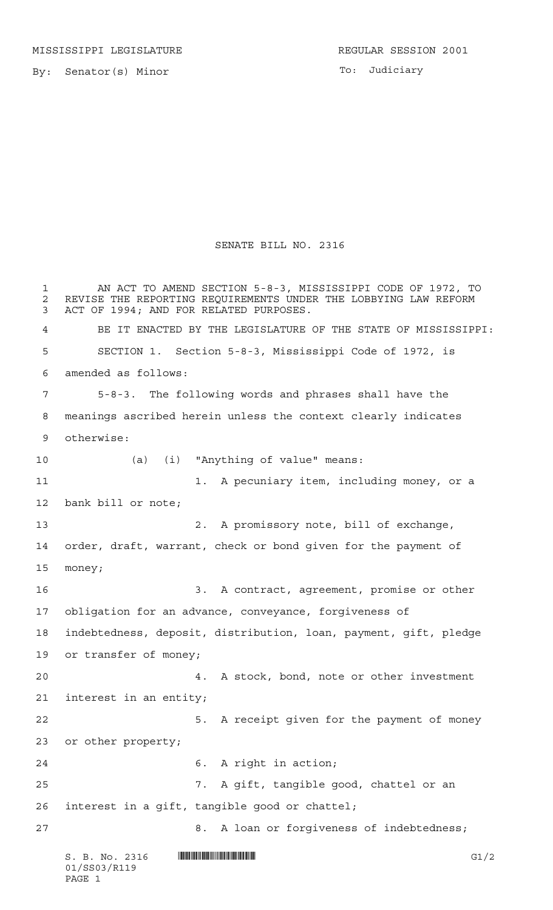By: Senator(s) Minor

To: Judiciary

## SENATE BILL NO. 2316

 $S. B. No. 2316$   $\blacksquare$   $\blacksquare$   $\blacksquare$   $\blacksquare$   $\blacksquare$   $\blacksquare$   $\blacksquare$   $\blacksquare$   $\blacksquare$   $\blacksquare$   $\blacksquare$   $\blacksquare$   $\blacksquare$   $\blacksquare$   $\blacksquare$   $\blacksquare$   $\blacksquare$   $\blacksquare$   $\blacksquare$   $\blacksquare$   $\blacksquare$   $\blacksquare$   $\blacksquare$   $\blacksquare$   $\blacksquare$   $\blacksquare$   $\blacksquare$   $\blacksquare$   $\blacksquare$   $\blacks$  AN ACT TO AMEND SECTION 5-8-3, MISSISSIPPI CODE OF 1972, TO 2 REVISE THE REPORTING REQUIREMENTS UNDER THE LOBBYING LAW REFORM<br>3 ACT OF 1994: AND FOR RELATED PURPOSES. ACT OF 1994; AND FOR RELATED PURPOSES. BE IT ENACTED BY THE LEGISLATURE OF THE STATE OF MISSISSIPPI: SECTION 1. Section 5-8-3, Mississippi Code of 1972, is amended as follows: 5-8-3. The following words and phrases shall have the meanings ascribed herein unless the context clearly indicates otherwise: (a) (i) "Anything of value" means: 11 1. A pecuniary item, including money, or a bank bill or note; 2. A promissory note, bill of exchange, order, draft, warrant, check or bond given for the payment of money; 3. A contract, agreement, promise or other obligation for an advance, conveyance, forgiveness of indebtedness, deposit, distribution, loan, payment, gift, pledge or transfer of money; 4. A stock, bond, note or other investment interest in an entity; 22 5. A receipt given for the payment of money or other property; 6. A right in action; 7. A gift, tangible good, chattel or an interest in a gift, tangible good or chattel; 8. A loan or forgiveness of indebtedness;

01/SS03/R119 PAGE 1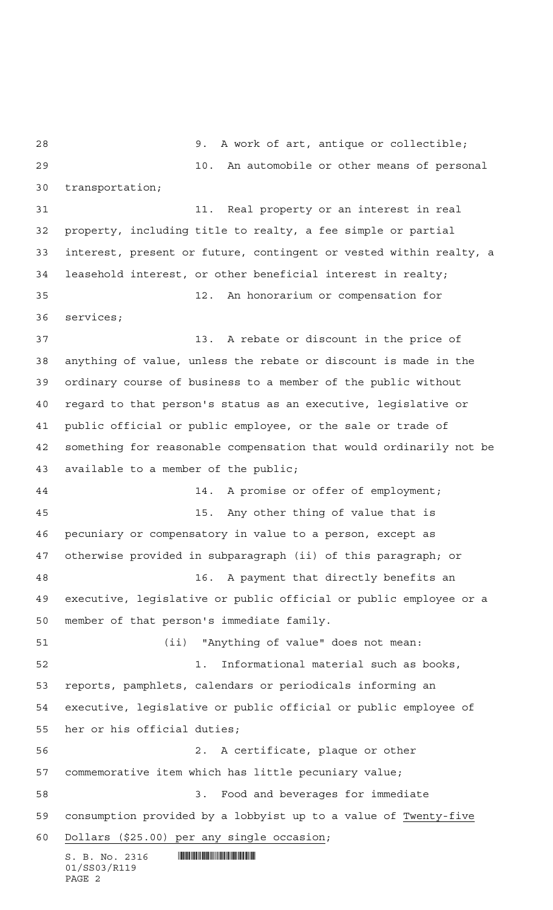$S. B. No. 2316$  .  $\blacksquare$ 01/SS03/R119 PAGE 2 9. A work of art, antique or collectible; 10. An automobile or other means of personal transportation; 31 11. Real property or an interest in real property, including title to realty, a fee simple or partial interest, present or future, contingent or vested within realty, a leasehold interest, or other beneficial interest in realty; 12. An honorarium or compensation for services; 13. A rebate or discount in the price of anything of value, unless the rebate or discount is made in the ordinary course of business to a member of the public without regard to that person's status as an executive, legislative or public official or public employee, or the sale or trade of something for reasonable compensation that would ordinarily not be available to a member of the public; 44 14. A promise or offer of employment; 15. Any other thing of value that is pecuniary or compensatory in value to a person, except as otherwise provided in subparagraph (ii) of this paragraph; or 16. A payment that directly benefits an executive, legislative or public official or public employee or a member of that person's immediate family. (ii) "Anything of value" does not mean: 1. Informational material such as books, reports, pamphlets, calendars or periodicals informing an executive, legislative or public official or public employee of her or his official duties; 2. A certificate, plaque or other commemorative item which has little pecuniary value; 3. Food and beverages for immediate consumption provided by a lobbyist up to a value of Twenty-five Dollars (\$25.00) per any single occasion;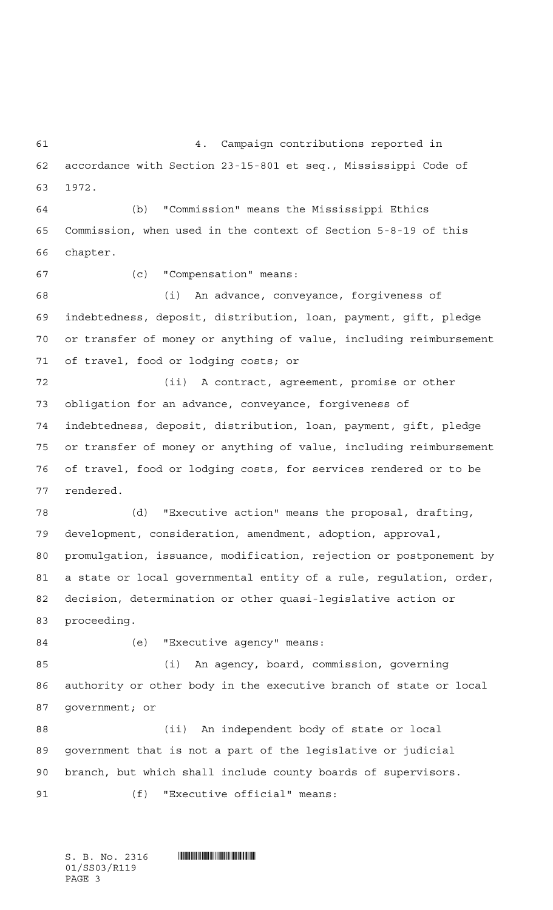4. Campaign contributions reported in accordance with Section 23-15-801 et seq., Mississippi Code of 1972. (b) "Commission" means the Mississippi Ethics Commission, when used in the context of Section 5-8-19 of this chapter. (c) "Compensation" means: (i) An advance, conveyance, forgiveness of indebtedness, deposit, distribution, loan, payment, gift, pledge or transfer of money or anything of value, including reimbursement of travel, food or lodging costs; or (ii) A contract, agreement, promise or other obligation for an advance, conveyance, forgiveness of indebtedness, deposit, distribution, loan, payment, gift, pledge or transfer of money or anything of value, including reimbursement of travel, food or lodging costs, for services rendered or to be rendered. (d) "Executive action" means the proposal, drafting, development, consideration, amendment, adoption, approval, promulgation, issuance, modification, rejection or postponement by a state or local governmental entity of a rule, regulation, order, decision, determination or other quasi-legislative action or proceeding. (e) "Executive agency" means: (i) An agency, board, commission, governing authority or other body in the executive branch of state or local government; or (ii) An independent body of state or local government that is not a part of the legislative or judicial branch, but which shall include county boards of supervisors. (f) "Executive official" means:

S. B. No. 2316 \*SS03/R119\* 01/SS03/R119 PAGE 3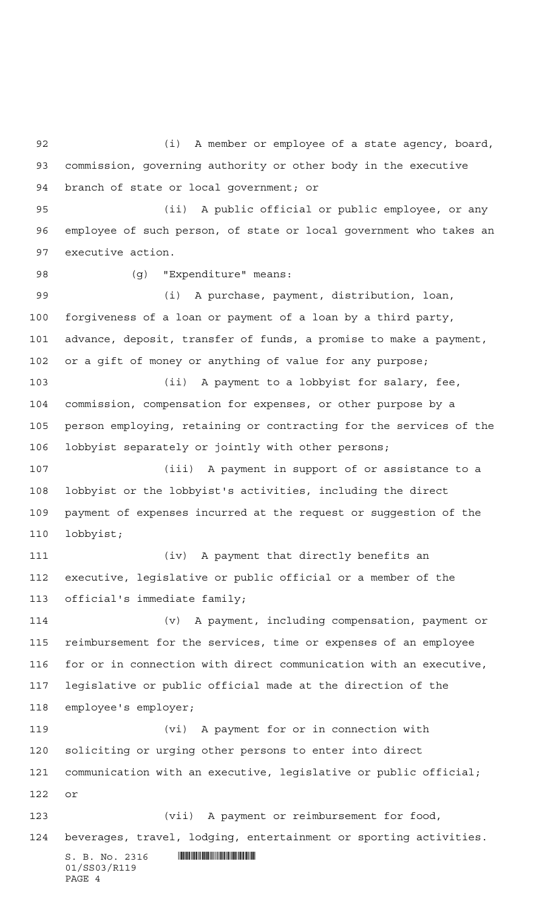$S. B. No. 2316$  .  $\blacksquare$ 01/SS03/R119 (i) A member or employee of a state agency, board, commission, governing authority or other body in the executive branch of state or local government; or (ii) A public official or public employee, or any employee of such person, of state or local government who takes an executive action. 98 (g) "Expenditure" means: (i) A purchase, payment, distribution, loan, forgiveness of a loan or payment of a loan by a third party, advance, deposit, transfer of funds, a promise to make a payment, or a gift of money or anything of value for any purpose; (ii) A payment to a lobbyist for salary, fee, commission, compensation for expenses, or other purpose by a person employing, retaining or contracting for the services of the lobbyist separately or jointly with other persons; (iii) A payment in support of or assistance to a lobbyist or the lobbyist's activities, including the direct payment of expenses incurred at the request or suggestion of the lobbyist; (iv) A payment that directly benefits an executive, legislative or public official or a member of the official's immediate family; (v) A payment, including compensation, payment or reimbursement for the services, time or expenses of an employee for or in connection with direct communication with an executive, legislative or public official made at the direction of the employee's employer; (vi) A payment for or in connection with soliciting or urging other persons to enter into direct communication with an executive, legislative or public official; or (vii) A payment or reimbursement for food, beverages, travel, lodging, entertainment or sporting activities.

PAGE 4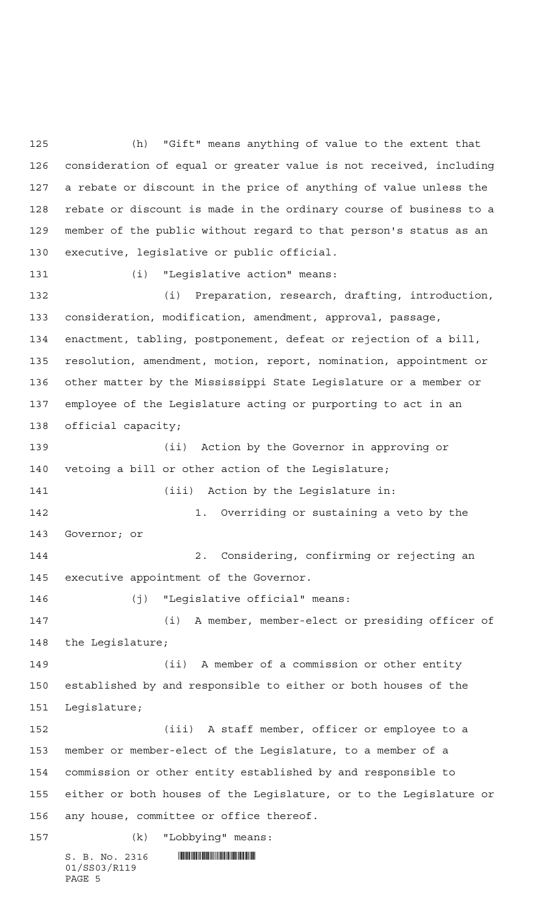(h) "Gift" means anything of value to the extent that consideration of equal or greater value is not received, including a rebate or discount in the price of anything of value unless the rebate or discount is made in the ordinary course of business to a member of the public without regard to that person's status as an executive, legislative or public official.

(i) "Legislative action" means:

 (i) Preparation, research, drafting, introduction, consideration, modification, amendment, approval, passage, enactment, tabling, postponement, defeat or rejection of a bill, resolution, amendment, motion, report, nomination, appointment or other matter by the Mississippi State Legislature or a member or employee of the Legislature acting or purporting to act in an official capacity;

 (ii) Action by the Governor in approving or vetoing a bill or other action of the Legislature; (iii) Action by the Legislature in:

 1. Overriding or sustaining a veto by the Governor; or

 2. Considering, confirming or rejecting an executive appointment of the Governor.

(j) "Legislative official" means:

 (i) A member, member-elect or presiding officer of the Legislature;

 (ii) A member of a commission or other entity established by and responsible to either or both houses of the Legislature;

 (iii) A staff member, officer or employee to a member or member-elect of the Legislature, to a member of a commission or other entity established by and responsible to either or both houses of the Legislature, or to the Legislature or any house, committee or office thereof.

S. B. No. 2316 \*SS03/R119\* 01/SS03/R119 PAGE 5 (k) "Lobbying" means: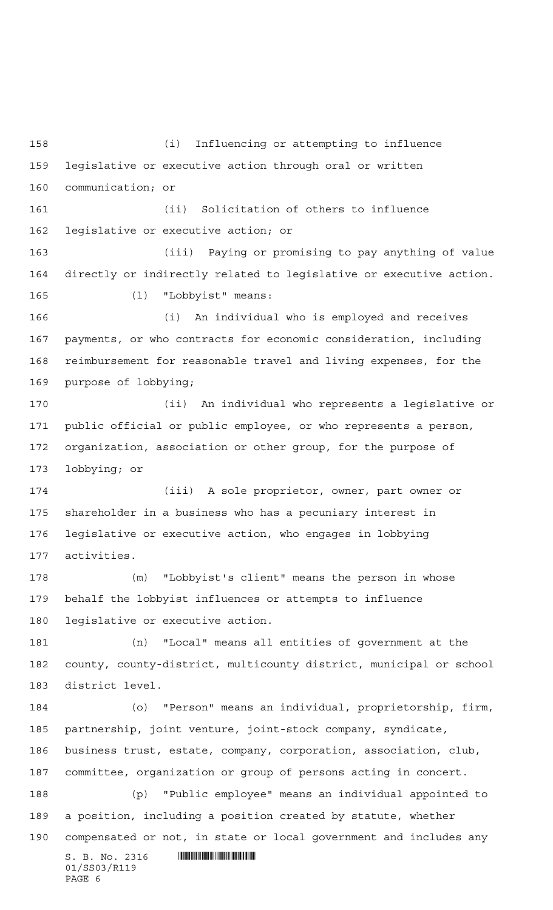$S. B. No. 2316$  .  $M. 2316$ 01/SS03/R119 PAGE 6 (i) Influencing or attempting to influence legislative or executive action through oral or written communication; or (ii) Solicitation of others to influence legislative or executive action; or (iii) Paying or promising to pay anything of value directly or indirectly related to legislative or executive action. (l) "Lobbyist" means: (i) An individual who is employed and receives payments, or who contracts for economic consideration, including reimbursement for reasonable travel and living expenses, for the purpose of lobbying; (ii) An individual who represents a legislative or public official or public employee, or who represents a person, organization, association or other group, for the purpose of lobbying; or (iii) A sole proprietor, owner, part owner or shareholder in a business who has a pecuniary interest in legislative or executive action, who engages in lobbying activities. (m) "Lobbyist's client" means the person in whose behalf the lobbyist influences or attempts to influence legislative or executive action. (n) "Local" means all entities of government at the county, county-district, multicounty district, municipal or school district level. (o) "Person" means an individual, proprietorship, firm, partnership, joint venture, joint-stock company, syndicate, business trust, estate, company, corporation, association, club, committee, organization or group of persons acting in concert. (p) "Public employee" means an individual appointed to a position, including a position created by statute, whether compensated or not, in state or local government and includes any